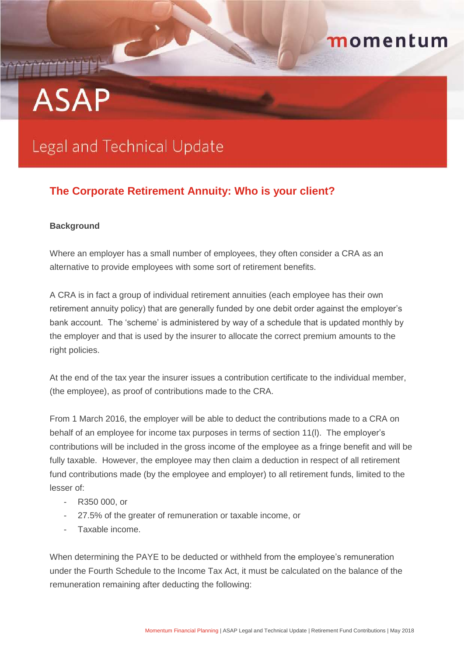## momentum

# **ASAP**

## **Legal and Technical Update**

### **The Corporate Retirement Annuity: Who is your client?**

#### **Background**

Where an employer has a small number of employees, they often consider a CRA as an alternative to provide employees with some sort of retirement benefits.

A CRA is in fact a group of individual retirement annuities (each employee has their own retirement annuity policy) that are generally funded by one debit order against the employer's bank account. The 'scheme' is administered by way of a schedule that is updated monthly by the employer and that is used by the insurer to allocate the correct premium amounts to the right policies.

At the end of the tax year the insurer issues a contribution certificate to the individual member, (the employee), as proof of contributions made to the CRA.

From 1 March 2016, the employer will be able to deduct the contributions made to a CRA on behalf of an employee for income tax purposes in terms of section 11(l). The employer's contributions will be included in the gross income of the employee as a fringe benefit and will be fully taxable. However, the employee may then claim a deduction in respect of all retirement fund contributions made (by the employee and employer) to all retirement funds, limited to the lesser of:

- R350 000, or
- 27.5% of the greater of remuneration or taxable income, or
- Taxable income.

When determining the PAYE to be deducted or withheld from the employee's remuneration under the Fourth Schedule to the Income Tax Act, it must be calculated on the balance of the remuneration remaining after deducting the following: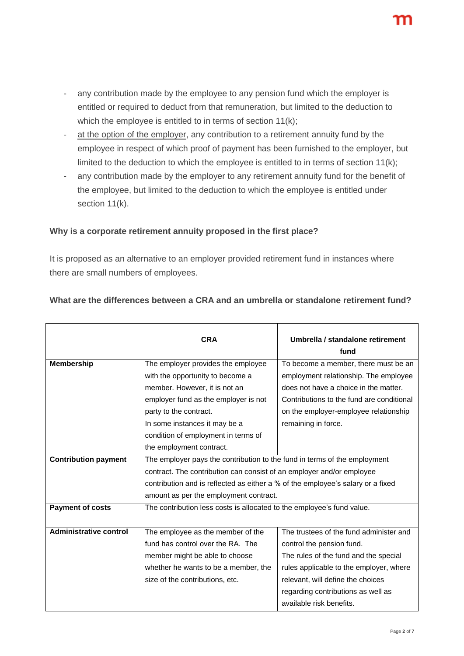- at the option of the employer, any contribution to a retirement annuity fund by the employee in respect of which proof of payment has been furnished to the employer, but limited to the deduction to which the employee is entitled to in terms of section 11(k);
- any contribution made by the employer to any retirement annuity fund for the benefit of the employee, but limited to the deduction to which the employee is entitled under section 11(k).

#### **Why is a corporate retirement annuity proposed in the first place?**

It is proposed as an alternative to an employer provided retirement fund in instances where there are small numbers of employees.

|                               | <b>CRA</b>                                                                      | Umbrella / standalone retirement          |
|-------------------------------|---------------------------------------------------------------------------------|-------------------------------------------|
|                               |                                                                                 | fund                                      |
| <b>Membership</b>             | The employer provides the employee                                              | To become a member, there must be an      |
|                               | with the opportunity to become a                                                | employment relationship. The employee     |
|                               | member. However, it is not an                                                   | does not have a choice in the matter.     |
|                               | employer fund as the employer is not                                            | Contributions to the fund are conditional |
|                               | party to the contract.                                                          | on the employer-employee relationship     |
|                               | In some instances it may be a                                                   | remaining in force.                       |
|                               | condition of employment in terms of                                             |                                           |
|                               | the employment contract.                                                        |                                           |
| <b>Contribution payment</b>   | The employer pays the contribution to the fund in terms of the employment       |                                           |
|                               | contract. The contribution can consist of an employer and/or employee           |                                           |
|                               | contribution and is reflected as either a % of the employee's salary or a fixed |                                           |
|                               | amount as per the employment contract.                                          |                                           |
| <b>Payment of costs</b>       | The contribution less costs is allocated to the employee's fund value.          |                                           |
|                               |                                                                                 |                                           |
| <b>Administrative control</b> | The employee as the member of the                                               | The trustees of the fund administer and   |
|                               | fund has control over the RA. The                                               | control the pension fund.                 |
|                               | member might be able to choose                                                  | The rules of the fund and the special     |
|                               | whether he wants to be a member, the                                            | rules applicable to the employer, where   |
|                               | size of the contributions, etc.                                                 | relevant, will define the choices         |
|                               |                                                                                 | regarding contributions as well as        |
|                               |                                                                                 | available risk benefits.                  |

#### **What are the differences between a CRA and an umbrella or standalone retirement fund?**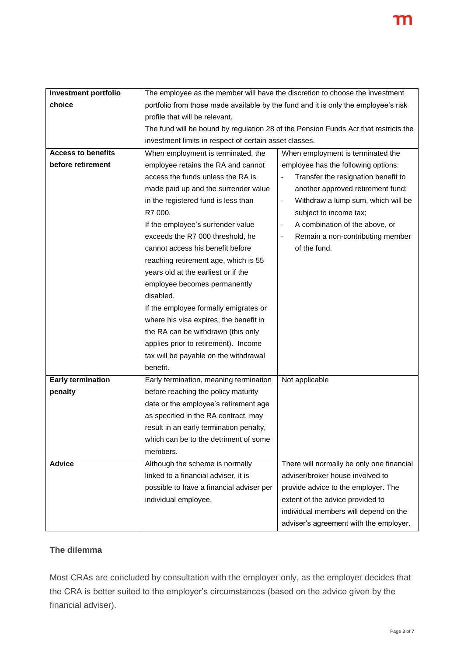| <b>Investment portfolio</b><br>The employee as the member will have the discretion to choose the investment<br>choice<br>portfolio from those made available by the fund and it is only the employee's risk<br>profile that will be relevant. |
|-----------------------------------------------------------------------------------------------------------------------------------------------------------------------------------------------------------------------------------------------|
|                                                                                                                                                                                                                                               |
|                                                                                                                                                                                                                                               |
|                                                                                                                                                                                                                                               |
| The fund will be bound by regulation 28 of the Pension Funds Act that restricts the                                                                                                                                                           |
| investment limits in respect of certain asset classes.                                                                                                                                                                                        |
| <b>Access to benefits</b><br>When employment is terminated, the<br>When employment is terminated the                                                                                                                                          |
| before retirement<br>employee retains the RA and cannot<br>employee has the following options:                                                                                                                                                |
| access the funds unless the RA is<br>Transfer the resignation benefit to                                                                                                                                                                      |
| made paid up and the surrender value<br>another approved retirement fund;                                                                                                                                                                     |
| in the registered fund is less than<br>Withdraw a lump sum, which will be<br>$\overline{\phantom{a}}$                                                                                                                                         |
| R7 000.<br>subject to income tax;                                                                                                                                                                                                             |
| If the employee's surrender value<br>A combination of the above, or<br>$\qquad \qquad \blacksquare$                                                                                                                                           |
| exceeds the R7 000 threshold, he<br>Remain a non-contributing member<br>$\overline{\phantom{a}}$                                                                                                                                              |
| of the fund.<br>cannot access his benefit before                                                                                                                                                                                              |
| reaching retirement age, which is 55                                                                                                                                                                                                          |
| years old at the earliest or if the                                                                                                                                                                                                           |
| employee becomes permanently                                                                                                                                                                                                                  |
| disabled.                                                                                                                                                                                                                                     |
| If the employee formally emigrates or                                                                                                                                                                                                         |
| where his visa expires, the benefit in                                                                                                                                                                                                        |
| the RA can be withdrawn (this only                                                                                                                                                                                                            |
| applies prior to retirement). Income                                                                                                                                                                                                          |
| tax will be payable on the withdrawal                                                                                                                                                                                                         |
| benefit.                                                                                                                                                                                                                                      |
| <b>Early termination</b><br>Early termination, meaning termination<br>Not applicable                                                                                                                                                          |
| before reaching the policy maturity<br>penalty                                                                                                                                                                                                |
| date or the employee's retirement age                                                                                                                                                                                                         |
| as specified in the RA contract, may                                                                                                                                                                                                          |
| result in an early termination penalty,                                                                                                                                                                                                       |
| which can be to the detriment of some                                                                                                                                                                                                         |
| members.                                                                                                                                                                                                                                      |
| <b>Advice</b><br>There will normally be only one financial<br>Although the scheme is normally                                                                                                                                                 |
| adviser/broker house involved to<br>linked to a financial adviser, it is                                                                                                                                                                      |
| possible to have a financial adviser per<br>provide advice to the employer. The                                                                                                                                                               |
| extent of the advice provided to<br>individual employee.                                                                                                                                                                                      |
| individual members will depend on the                                                                                                                                                                                                         |
| adviser's agreement with the employer.                                                                                                                                                                                                        |

#### **The dilemma**

Most CRAs are concluded by consultation with the employer only, as the employer decides that the CRA is better suited to the employer's circumstances (based on the advice given by the financial adviser).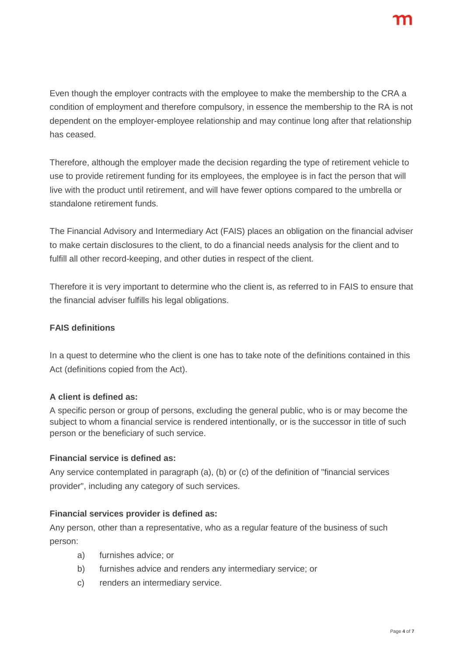Even though the employer contracts with the employee to make the membership to the CRA a condition of employment and therefore compulsory, in essence the membership to the RA is not dependent on the employer-employee relationship and may continue long after that relationship has ceased.

Therefore, although the employer made the decision regarding the type of retirement vehicle to use to provide retirement funding for its employees, the employee is in fact the person that will live with the product until retirement, and will have fewer options compared to the umbrella or standalone retirement funds.

The Financial Advisory and Intermediary Act (FAIS) places an obligation on the financial adviser to make certain disclosures to the client, to do a financial needs analysis for the client and to fulfill all other record-keeping, and other duties in respect of the client.

Therefore it is very important to determine who the client is, as referred to in FAIS to ensure that the financial adviser fulfills his legal obligations.

#### **FAIS definitions**

In a quest to determine who the client is one has to take note of the definitions contained in this Act (definitions copied from the Act).

#### **A client is defined as:**

A specific person or group of persons, excluding the general public, who is or may become the subject to whom a financial service is rendered intentionally, or is the successor in title of such person or the beneficiary of such service.

#### **Financial service is defined as:**

Any service contemplated in paragraph (a), (b) or (c) of the definition of "financial services provider", including any category of such services.

#### **Financial services provider is defined as:**

Any person, other than a representative, who as a regular feature of the business of such person:

- a) furnishes advice; or
- b) furnishes advice and renders any intermediary service; or
- c) renders an intermediary service.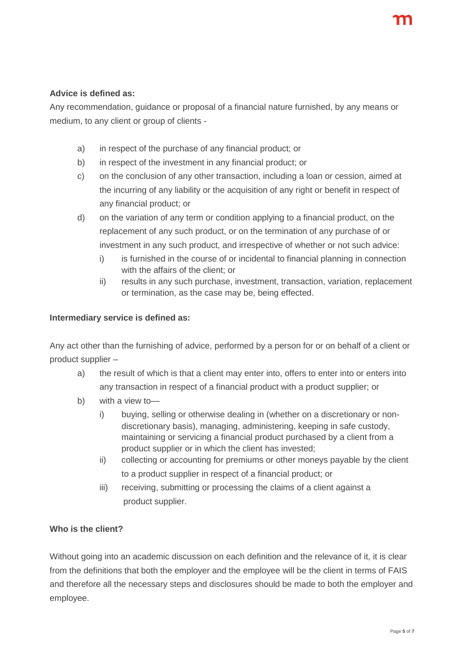#### **Advice is defined as:**

Any recommendation, guidance or proposal of a financial nature furnished, by any means or medium, to any client or group of clients -

- a) in respect of the purchase of any financial product; or
- b) in respect of the investment in any financial product; or
- c) on the conclusion of any other transaction, including a loan or cession, aimed at the incurring of any liability or the acquisition of any right or benefit in respect of any financial product; or
- d) on the variation of any term or condition applying to a financial product, on the replacement of any such product, or on the termination of any purchase of or investment in any such product, and irrespective of whether or not such advice:
	- i) is furnished in the course of or incidental to financial planning in connection with the affairs of the client; or
	- ii) results in any such purchase, investment, transaction, variation, replacement or termination, as the case may be, being effected.

#### **Intermediary service is defined as:**

Any act other than the furnishing of advice, performed by a person for or on behalf of a client or product supplier –

- a) the result of which is that a client may enter into, offers to enter into or enters into any transaction in respect of a financial product with a product supplier; or
- b) with a view to
	- i) buying, selling or otherwise dealing in (whether on a discretionary or nondiscretionary basis), managing, administering, keeping in safe custody, maintaining or servicing a financial product purchased by a client from a product supplier or in which the client has invested;
	- ii) collecting or accounting for premiums or other moneys payable by the client to a product supplier in respect of a financial product; or
	- iii) receiving, submitting or processing the claims of a client against a product supplier.

#### **Who is the client?**

Without going into an academic discussion on each definition and the relevance of it, it is clear from the definitions that both the employer and the employee will be the client in terms of FAIS and therefore all the necessary steps and disclosures should be made to both the employer and employee.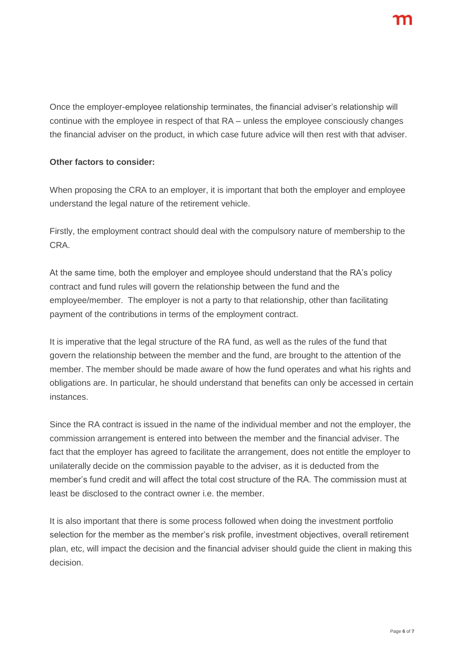Once the employer-employee relationship terminates, the financial adviser's relationship will continue with the employee in respect of that RA – unless the employee consciously changes the financial adviser on the product, in which case future advice will then rest with that adviser.

#### **Other factors to consider:**

When proposing the CRA to an employer, it is important that both the employer and employee understand the legal nature of the retirement vehicle.

Firstly, the employment contract should deal with the compulsory nature of membership to the CRA.

At the same time, both the employer and employee should understand that the RA's policy contract and fund rules will govern the relationship between the fund and the employee/member. The employer is not a party to that relationship, other than facilitating payment of the contributions in terms of the employment contract.

It is imperative that the legal structure of the RA fund, as well as the rules of the fund that govern the relationship between the member and the fund, are brought to the attention of the member. The member should be made aware of how the fund operates and what his rights and obligations are. In particular, he should understand that benefits can only be accessed in certain instances.

Since the RA contract is issued in the name of the individual member and not the employer, the commission arrangement is entered into between the member and the financial adviser. The fact that the employer has agreed to facilitate the arrangement, does not entitle the employer to unilaterally decide on the commission payable to the adviser, as it is deducted from the member's fund credit and will affect the total cost structure of the RA. The commission must at least be disclosed to the contract owner i.e. the member.

It is also important that there is some process followed when doing the investment portfolio selection for the member as the member's risk profile, investment objectives, overall retirement plan, etc, will impact the decision and the financial adviser should guide the client in making this decision.